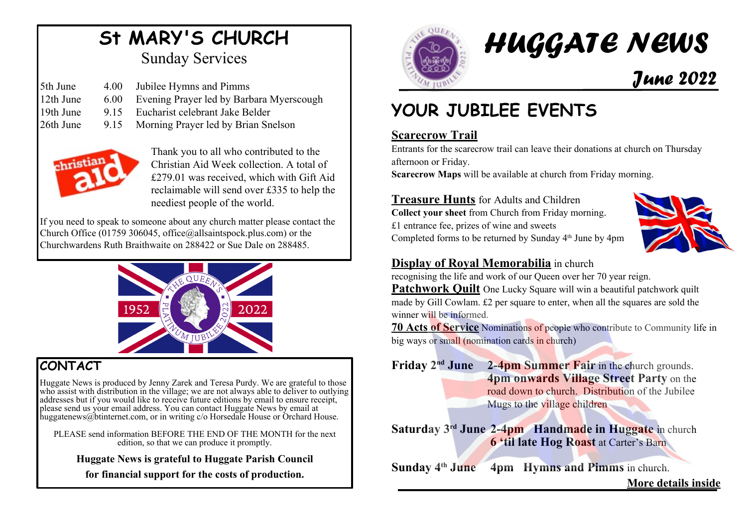## **St MARY'S CHURCH** Sunday Services

| 5th June  | 4.00  | Jubilee Hymns and Pimms                  |
|-----------|-------|------------------------------------------|
| 12th June | 6.00  | Evening Prayer led by Barbara Myerscough |
| 19th June | 9 1 5 | Eucharist celebrant Jake Belder          |

26th June 9.15 Morning Prayer led by Brian Snelson



Thank you to all who contributed to the Christian Aid Week collection. A total of £279.01 was received, which with Gift Aid reclaimable will send over £335 to help the neediest people of the world.

If you need to speak to someone about any church matter please contact the Church Office (01759 306045, office@allsaintspock.plus.com) or the Churchwardens Ruth Braithwaite on 288422 or Sue Dale on 288485.



## **CONTACT**

Huggate News is produced by Jenny Zarek and Teresa Purdy. We are grateful to those who assist with distribution in the village; we are not always able to deliver to outlying addresses but if you would like to receive future editions by email to ensure receipt, addresses but if you would like to receive future editions by email to ensure receipt, please send us your email address. You can contact Huggate News by email at huggatenews@btinternet.com, or in writing c/o Horsedale House or Orchard House.

PLEASE send information BEFORE THE END OF THE MONTH for the next edition, so that we can produce it promptly.

**Huggate News is grateful to Huggate Parish Council**

**for financial support for the costs of production.**



# *HUGGATE NEWS June 2022*

## **YOUR JUBILEE EVENTS**

## **Scarecrow Trail**

Entrants for the scarecrow trail can leave their donations at church on Thursday afternoon or Friday.

**Scarecrow Maps** will be available at church from Friday morning.

**Treasure Hunts** for Adults and Children **Collect your sheet** from Church from Friday morning. £1 entrance fee, prizes of wine and sweets Completed forms to be returned by Sunday 4<sup>th</sup> June by 4pm



## **Display of Royal Memorabilia** in church

recognising the life and work of our Queen over her 70 year reign.

**Patchwork Quilt** One Lucky Square will win a beautiful patchwork quilt made by Gill Cowlam. £2 per square to enter, when all the squares are sold the winner will be informed.

**70 Acts of Service** Nominations of people who contribute to Community life in big ways or small (nomination cards in church)

**Friday 2nd June 2-4pm Summer Fair** in the church grounds. **4pm onwards Village Street Party** on the road down to church. Distribution of the Jubilee Mugs to the village children

**Saturday 3rd June 2-4pm Handmade in Huggate** in church **6 'til late Hog Roast** at Carter's Barn

**Sunday 4th June 4pm Hymns and Pimms** in church.

### **More details inside**